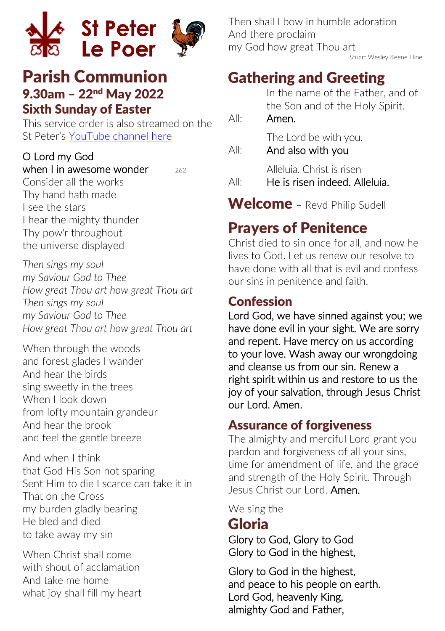

## Parish Communion 9.30am – 22nd May 2022 Sixth Sunday of Easter

This service order is also streamed on the St Peter's [YouTube channel here](https://www.youtube.com/channel/UC6UIg8_l7nZgnqxFmrjSWYA)

#### O Lord my God when I in awesome wonder  $262$

Consider all the works Thy hand hath made I see the stars I hear the mighty thunder Thy pow'r throughout the universe displayed

*Then sings my soul my Saviour God to Thee How great Thou art how great Thou art Then sings my soul my Saviour God to Thee How great Thou art how great Thou art*

When through the woods and forest glades I wander And hear the birds sing sweetly in the trees When I look down from lofty mountain grandeur And hear the brook and feel the gentle breeze

And when I think that God His Son not sparing Sent Him to die I scarce can take it in That on the Cross my burden gladly bearing He bled and died to take away my sin

When Christ shall come with shout of acclamation And take me home what joy shall fill my heart

Then shall I bow in humble adoration And there proclaim my God how great Thou art Stuart Wesley Keene Hine

## Gathering and Greeting

In the name of the Father, and of the Son and of the Holy Spirit.

All: Amen.

The Lord be with you.

All: And also with you

Alleluia. Christ is risen

All: He is risen indeed. Alleluia.

Welcome - Revd Philip Sudell

# Prayers of Penitence

Christ died to sin once for all, and now he lives to God. Let us renew our resolve to have done with all that is evil and confess our sins in penitence and faith.

## Confession

Lord God, we have sinned against you; we have done evil in your sight. We are sorry and repent. Have mercy on us according to your love. Wash away our wrongdoing and cleanse us from our sin. Renew a right spirit within us and restore to us the joy of your salvation, through Jesus Christ our Lord. Amen.

### Assurance of forgiveness

The almighty and merciful Lord grant you pardon and forgiveness of all your sins, time for amendment of life, and the grace and strength of the Holy Spirit. Through Jesus Christ our Lord. Amen.

We sing the

Gloria

Glory to God, Glory to God Glory to God in the highest,

Glory to God in the highest, and peace to his people on earth. Lord God, heavenly King, almighty God and Father,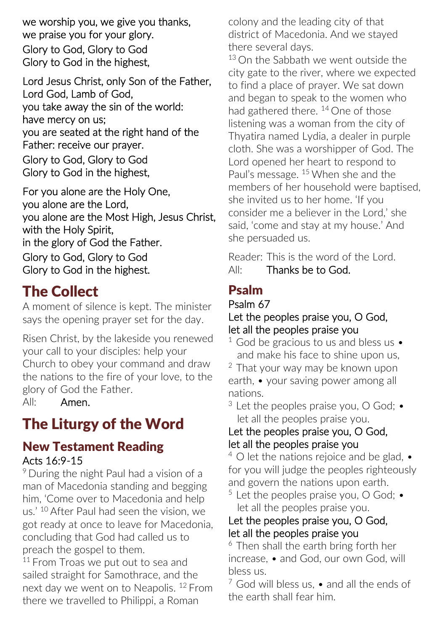we worship you, we give you thanks, we praise you for your glory. Glory to God, Glory to God Glory to God in the highest,

Lord Jesus Christ, only Son of the Father, Lord God, Lamb of God, you take away the sin of the world: have mercy on us; you are seated at the right hand of the Father: receive our prayer.

Glory to God, Glory to God Glory to God in the highest,

For you alone are the Holy One, you alone are the Lord, you alone are the Most High, Jesus Christ, with the Holy Spirit, in the glory of God the Father. Glory to God, Glory to God Glory to God in the highest.

## The Collect

A moment of silence is kept. The minister says the opening prayer set for the day.

Risen Christ, by the lakeside you renewed your call to your disciples: help your Church to obey your command and draw the nations to the fire of your love, to the glory of God the Father.

All: Amen.

## The Liturgy of the Word

### New Testament Reading Acts 16:9-15

<sup>9</sup> During the night Paul had a vision of a man of Macedonia standing and begging him, 'Come over to Macedonia and help us.' <sup>10</sup> After Paul had seen the vision, we got ready at once to leave for Macedonia, concluding that God had called us to preach the gospel to them.

<sup>11</sup> From Troas we put out to sea and sailed straight for Samothrace, and the next day we went on to Neapolis. <sup>12</sup> From there we travelled to Philippi, a Roman

colony and the leading city of that district of Macedonia. And we stayed there several days.

<sup>13</sup> On the Sabbath we went outside the city gate to the river, where we expected to find a place of prayer. We sat down and began to speak to the women who had gathered there. <sup>14</sup> One of those listening was a woman from the city of Thyatira named Lydia, a dealer in purple cloth. She was a worshipper of God. The Lord opened her heart to respond to Paul's message. <sup>15</sup> When she and the members of her household were baptised, she invited us to her home. 'If you consider me a believer in the Lord, she said, 'come and stay at my house.' And she persuaded us.

Reader: This is the word of the Lord. All: Thanks be to God.

## Psalm

Psalm 67

### Let the peoples praise you, O God, let all the peoples praise you

<sup>1</sup> God be gracious to us and bless us  $\bullet$ and make his face to shine upon us,

<sup>2</sup>That your way may be known upon earth, • your saving power among all nations.

 $3$  Let the peoples praise you, O God:  $\bullet$ let all the peoples praise you.

### Let the peoples praise you, O God, let all the peoples praise you

 $4$  O let the nations rejoice and be glad.  $\bullet$ for you will judge the peoples righteously and govern the nations upon earth.

 $5$  Let the peoples praise you, O God;  $\bullet$ let all the peoples praise you.

#### Let the peoples praise you, O God, let all the peoples praise you

 $6$  Then shall the earth bring forth her increase, • and God, our own God, will bless us.

 $7$  God will bless us,  $\bullet$  and all the ends of the earth shall fear him.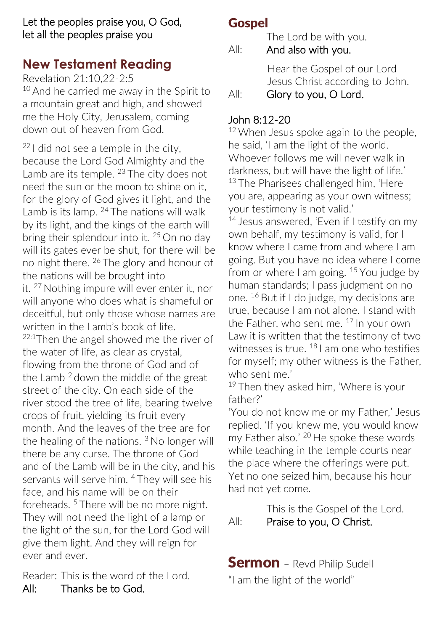Let the peoples praise you, O God, let all the peoples praise you

### **New Testament Reading**

Revelation 21:10,22-2:5

<sup>10</sup> And he carried me away in the Spirit to a mountain great and high, and showed me the Holy City, Jerusalem, coming down out of heaven from God.

<sup>22</sup> I did not see a temple in the city, because the Lord God Almighty and the Lamb are its temple. <sup>23</sup> The city does not need the sun or the moon to shine on it for the glory of God gives it light, and the Lamb is its lamp. <sup>24</sup> The nations will walk by its light, and the kings of the earth will bring their splendour into it. <sup>25</sup> On no day will its gates ever be shut, for there will be no night there. <sup>26</sup> The glory and honour of the nations will be brought into it. <sup>27</sup> Nothing impure will ever enter it, nor will anyone who does what is shameful or deceitful, but only those whose names are written in the Lamb's book of life.  $22:1$ Then the angel showed me the river of the water of life, as clear as crystal, flowing from the throne of God and of the Lamb  $2$  down the middle of the great street of the city. On each side of the river stood the tree of life, bearing twelve crops of fruit, yielding its fruit every month. And the leaves of the tree are for the healing of the nations.  $3$  No longer will there be any curse. The throne of God and of the Lamb will be in the city, and his servants will serve him. <sup>4</sup> They will see his face, and his name will be on their foreheads. <sup>5</sup> There will be no more night. They will not need the light of a lamp or the light of the sun, for the Lord God will give them light. And they will reign for ever and ever.

Reader: This is the word of the Lord. All: Thanks be to God.

## **Gospel**

The Lord be with you.

All: And also with you.

Hear the Gospel of our Lord Jesus Christ according to John.

All: Glory to you, O Lord.

### John 8:12-20

 $12$  When Jesus spoke again to the people. he said, 'I am the light of the world. Whoever follows me will never walk in darkness, but will have the light of life.' <sup>13</sup> The Pharisees challenged him, 'Here you are, appearing as your own witness; your testimony is not valid.'

<sup>14</sup> Jesus answered, 'Even if I testify on my own behalf, my testimony is valid, for I know where I came from and where I am going. But you have no idea where I come from or where I am going. <sup>15</sup> You judge by human standards; I pass judgment on no one. <sup>16</sup> But if I do judge, my decisions are true, because I am not alone. I stand with the Father, who sent me. <sup>17</sup> In your own Law it is written that the testimony of two witnesses is true. <sup>18</sup> Lam one who testifies for myself; my other witness is the Father, who sent me'

<sup>19</sup> Then they asked him, 'Where is your father?'

'You do not know me or my Father,' Jesus replied. 'If you knew me, you would know my Father also.' <sup>20</sup> He spoke these words while teaching in the temple courts near the place where the offerings were put. Yet no one seized him, because his hour had not yet come.

This is the Gospel of the Lord. All: Praise to you, O Christ.

**Sermon** - Revd Philip Sudell "I am the light of the world"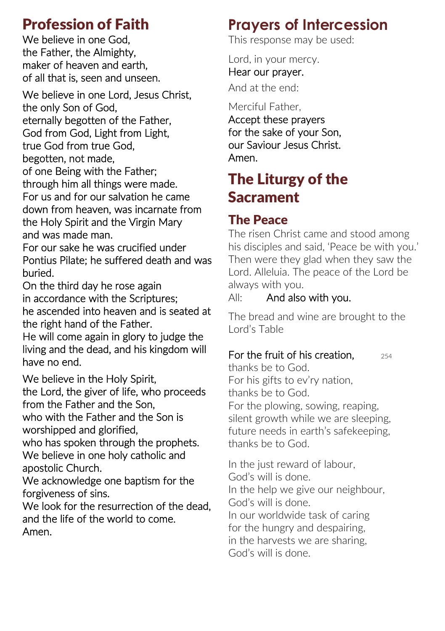## Profession of Faith

We believe in one God. the Father, the Almighty, maker of heaven and earth, of all that is, seen and unseen.

We believe in one Lord, Jesus Christ, the only Son of God, eternally begotten of the Father, God from God, Light from Light, true God from true God, begotten, not made, of one Being with the Father; through him all things were made. For us and for our salvation he came down from heaven, was incarnate from the Holy Spirit and the Virgin Mary and was made man.

For our sake he was crucified under Pontius Pilate; he suffered death and was buried.

On the third day he rose again in accordance with the Scriptures; he ascended into heaven and is seated at the right hand of the Father.

He will come again in glory to judge the living and the dead, and his kingdom will have no end.

We believe in the Holy Spirit, the Lord, the giver of life, who proceeds from the Father and the Son, who with the Father and the Son is worshipped and glorified, who has spoken through the prophets.

We believe in one holy catholic and apostolic Church.

We acknowledge one baptism for the forgiveness of sins.

We look for the resurrection of the dead, and the life of the world to come. Amen.

## **Prayers of Intercession**

This response may be used:

Lord, in your mercy. Hear our prayer.

And at the end:

#### Merciful Father,

Accept these prayers for the sake of your Son, our Saviour Jesus Christ. Amen.

## The Liturgy of the **Sacrament**

## The Peace

The risen Christ came and stood among his disciples and said, 'Peace be with you.' Then were they glad when they saw the Lord. Alleluia. The peace of the Lord be always with you.

All: And also with you.

The bread and wine are brought to the Lord's Table

### For the fruit of his creation.  $254$

thanks be to God. For his gifts to ev'ry nation, thanks be to God. For the plowing, sowing, reaping, silent growth while we are sleeping, future needs in earth's safekeeping, thanks be to God.

In the just reward of labour, God's will is done. In the help we give our neighbour, God's will is done. In our worldwide task of caring for the hungry and despairing, in the harvests we are sharing, God's will is done.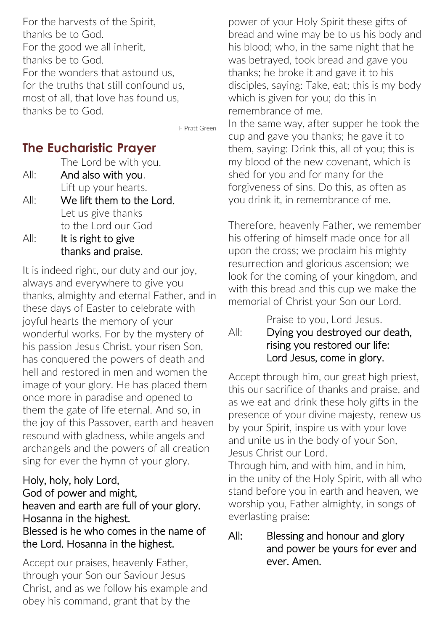For the harvests of the Spirit, thanks be to God. For the good we all inherit, thanks be to God. For the wonders that astound us, for the truths that still confound us, most of all, that love has found us thanks be to God.

F Pratt Green

### **The Eucharistic Prayer**

The Lord be with you.

All: And also with you. Lift up your hearts.

- All: We lift them to the Lord. Let us give thanks to the Lord our God
- All: It is right to give thanks and praise.

It is indeed right, our duty and our joy, always and everywhere to give you thanks, almighty and eternal Father, and in these days of Easter to celebrate with joyful hearts the memory of your wonderful works. For by the mystery of his passion Jesus Christ, your risen Son, has conquered the powers of death and hell and restored in men and women the image of your glory. He has placed them once more in paradise and opened to them the gate of life eternal. And so, in the joy of this Passover, earth and heaven resound with gladness, while angels and archangels and the powers of all creation sing for ever the hymn of your glory.

#### Holy, holy, holy Lord, God of power and might, heaven and earth are full of your glory. Hosanna in the highest. Blessed is he who comes in the name of the Lord. Hosanna in the highest.

Accept our praises, heavenly Father, through your Son our Saviour Jesus Christ, and as we follow his example and obey his command, grant that by the

power of your Holy Spirit these gifts of bread and wine may be to us his body and his blood; who, in the same night that he was betrayed, took bread and gave you thanks; he broke it and gave it to his disciples, saying: Take, eat; this is my body which is given for you; do this in remembrance of me. In the same way, after supper he took the cup and gave you thanks; he gave it to them, saying: Drink this, all of you; this is my blood of the new covenant, which is shed for you and for many for the forgiveness of sins. Do this, as often as you drink it, in remembrance of me.

Therefore, heavenly Father, we remember his offering of himself made once for all upon the cross; we proclaim his mighty resurrection and glorious ascension; we look for the coming of your kingdom, and with this bread and this cup we make the memorial of Christ your Son our Lord.

Praise to you, Lord Jesus.

#### All: Dying you destroyed our death, rising you restored our life: Lord Jesus, come in glory.

Accept through him, our great high priest, this our sacrifice of thanks and praise, and as we eat and drink these holy gifts in the presence of your divine majesty, renew us by your Spirit, inspire us with your love and unite us in the body of your Son, Jesus Christ our Lord.

Through him, and with him, and in him, in the unity of the Holy Spirit, with all who stand before you in earth and heaven, we worship you, Father almighty, in songs of everlasting praise:

#### All: Blessing and honour and glory and power be yours for ever and ever. Amen.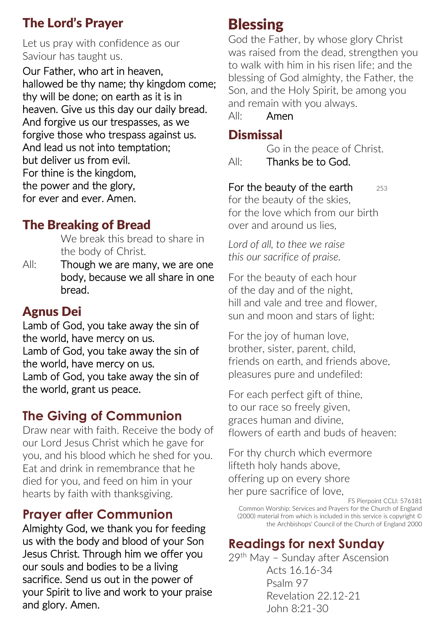## The Lord's Prayer

Let us pray with confidence as our Saviour has taught us.

Our Father, who art in heaven, hallowed be thy name; thy kingdom come; thy will be done; on earth as it is in heaven. Give us this day our daily bread. And forgive us our trespasses, as we forgive those who trespass against us. And lead us not into temptation; but deliver us from evil. For thine is the kingdom, the power and the glory, for ever and ever. Amen.

### The Breaking of Bread

We break this bread to share in the body of Christ.

All: Though we are many, we are one body, because we all share in one bread.

## Agnus Dei

Lamb of God, you take away the sin of the world, have mercy on us. Lamb of God, you take away the sin of the world, have mercy on us. Lamb of God, you take away the sin of the world, grant us peace.

### **The Giving of Communion**

Draw near with faith. Receive the body of our Lord Jesus Christ which he gave for you, and his blood which he shed for you. Eat and drink in remembrance that he died for you, and feed on him in your hearts by faith with thanksgiving.

### **Prayer after Communion**

Almighty God, we thank you for feeding us with the body and blood of your Son Jesus Christ. Through him we offer you our souls and bodies to be a living sacrifice. Send us out in the power of your Spirit to live and work to your praise and glory. Amen.

## Blessing

God the Father, by whose glory Christ was raised from the dead, strengthen you to walk with him in his risen life; and the blessing of God almighty, the Father, the Son, and the Holy Spirit, be among you and remain with you always.

All: Amen

### **Dismissal**

Go in the peace of Christ.

All: Thanks be to God.

For the beauty of the earth  $253$ 

for the beauty of the skies, for the love which from our birth over and around us lies,

*Lord of all, to thee we raise this our sacrifice of praise.*

For the beauty of each hour of the day and of the night, hill and vale and tree and flower, sun and moon and stars of light:

For the joy of human love, brother, sister, parent, child, friends on earth, and friends above, pleasures pure and undefiled:

For each perfect gift of thine, to our race so freely given, graces human and divine, flowers of earth and buds of heaven:

For thy church which evermore lifteth holy hands above, offering up on every shore her pure sacrifice of love,

FS Pierpoint CCLI: 576181 Common Worship: Services and Prayers for the Church of England (2000) material from which is included in this service is copyright © the Archbishops' Council of the Church of England 2000

## **Readings for next Sunday**

29<sup>th</sup> May - Sunday after Ascension Acts 16.16-34 Psalm 97 Revelation 22.12-21 John 8:21-30